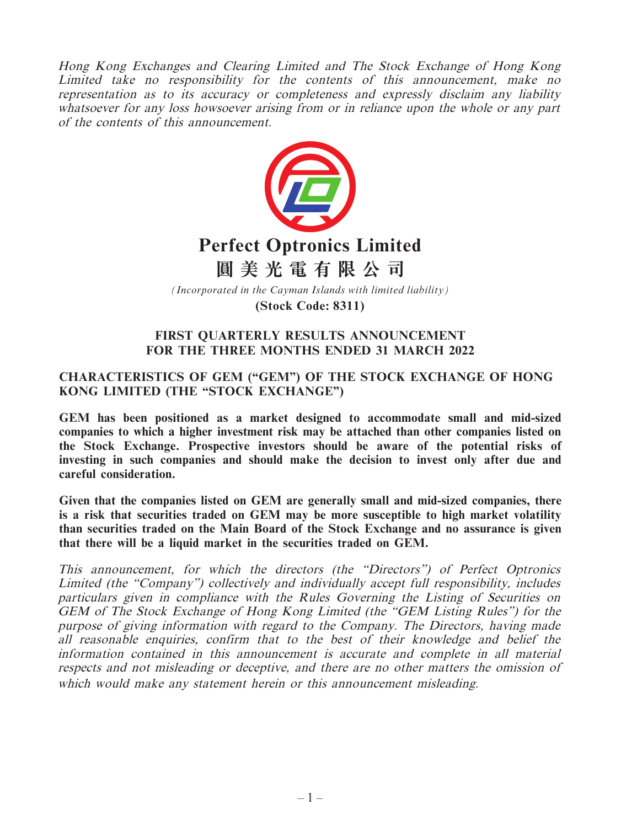Hong Kong Exchanges and Clearing Limited and The Stock Exchange of Hong Kong Limited take no responsibility for the contents of this announcement, make no representation as to its accuracy or completeness and expressly disclaim any liability whatsoever for any loss howsoever arising from or in reliance upon the whole or any part of the contents of this announcement.



**(Stock Code: 8311)**

### **FIRST QUARTERLY RESULTS ANNOUNCEMENT FOR THE THREE MONTHS ENDED 31 MARCH 2022**

## **CHARACTERISTICS OF GEM ("GEM") OF THE STOCK EXCHANGE OF HONG KONG LIMITED (THE "STOCK EXCHANGE")**

**GEM has been positioned as a market designed to accommodate small and mid-sized companies to which a higher investment risk may be attached than other companies listed on the Stock Exchange. Prospective investors should be aware of the potential risks of investing in such companies and should make the decision to invest only after due and careful consideration.**

**Given that the companies listed on GEM are generally small and mid-sized companies, there is a risk that securities traded on GEM may be more susceptible to high market volatility than securities traded on the Main Board of the Stock Exchange and no assurance is given that there will be a liquid market in the securities traded on GEM.**

This announcement, for which the directors (the "Directors") of Perfect Optronics Limited (the "Company") collectively and individually accept full responsibility, includes particulars given in compliance with the Rules Governing the Listing of Securities on GEM of The Stock Exchange of Hong Kong Limited (the "GEM Listing Rules") for the purpose of giving information with regard to the Company. The Directors, having made all reasonable enquiries, confirm that to the best of their knowledge and belief the information contained in this announcement is accurate and complete in all material respects and not misleading or deceptive, and there are no other matters the omission of which would make any statement herein or this announcement misleading.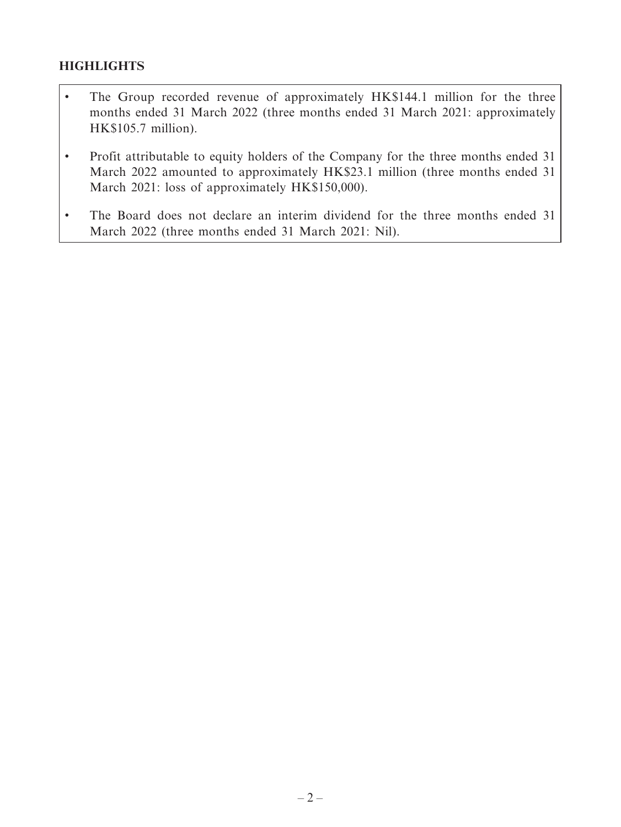## **HIGHLIGHTS**

- The Group recorded revenue of approximately HK\$144.1 million for the three months ended 31 March 2022 (three months ended 31 March 2021: approximately HK\$105.7 million).
- Profit attributable to equity holders of the Company for the three months ended 31 March 2022 amounted to approximately HK\$23.1 million (three months ended 31) March 2021: loss of approximately HK\$150,000).
- The Board does not declare an interim dividend for the three months ended 31 March 2022 (three months ended 31 March 2021: Nil).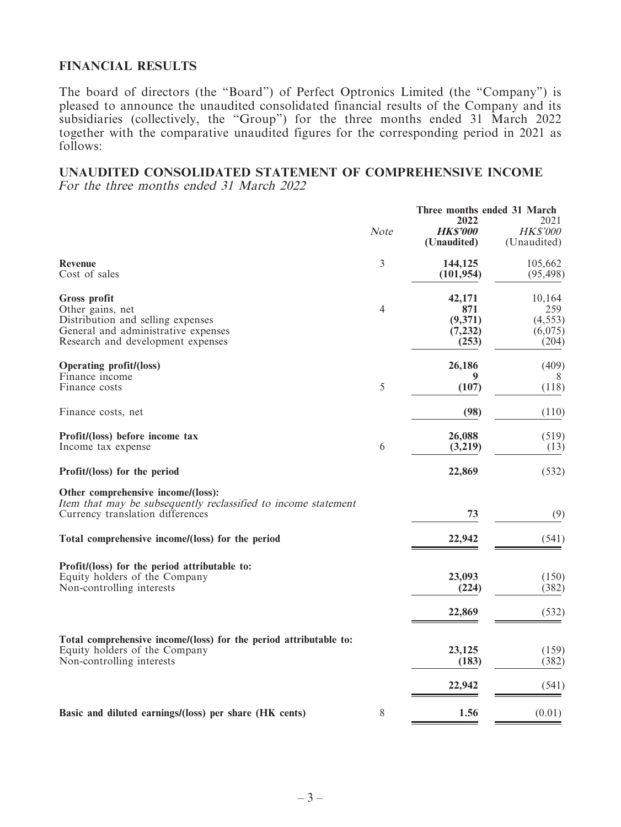### **FINANCIAL RESULTS**

The board of directors (the "Board") of Perfect Optronics Limited (the "Company") is pleased to announce the unaudited consolidated financial results of the Company and its subsidiaries (collectively, the "Group") for the three months ended 31 March 2022 together with the comparative unaudited figures for the corresponding period in 2021 as follows:

#### **UNAUDITED CONSOLIDATED STATEMENT OF COMPREHENSIVE INCOME** For the three months ended 31 March 2022

|                                                                                                                                                          |                | Three months ended 31 March<br>2022           |                                               |  |
|----------------------------------------------------------------------------------------------------------------------------------------------------------|----------------|-----------------------------------------------|-----------------------------------------------|--|
|                                                                                                                                                          | Note           | <b>HKS'000</b><br>(Unaudited)                 | 2021<br><b>HK\$'000</b><br>(Unaudited)        |  |
| <b>Revenue</b><br>Cost of sales                                                                                                                          | 3              | 144,125<br>(101, 954)                         | 105,662<br>(95, 498)                          |  |
| <b>Gross profit</b><br>Other gains, net<br>Distribution and selling expenses<br>General and administrative expenses<br>Research and development expenses | $\overline{4}$ | 42,171<br>871<br>(9,371)<br>(7, 232)<br>(253) | 10,164<br>259<br>(4, 553)<br>(6,075)<br>(204) |  |
| <b>Operating profit/(loss)</b><br>Finance income                                                                                                         |                | 26,186<br>9                                   | (409)<br>8                                    |  |
| Finance costs                                                                                                                                            | 5              | (107)                                         | (118)                                         |  |
| Finance costs, net                                                                                                                                       |                | (98)                                          | (110)                                         |  |
| Profit/(loss) before income tax<br>Income tax expense                                                                                                    | 6              | 26,088<br>(3,219)                             | (519)<br>(13)                                 |  |
| Profit/(loss) for the period                                                                                                                             |                | 22,869                                        | (532)                                         |  |
| Other comprehensive income/(loss):<br>Item that may be subsequently reclassified to income statement<br>Currency translation differences                 |                | 73                                            | (9)                                           |  |
| Total comprehensive income/(loss) for the period                                                                                                         |                | 22,942                                        | (541)                                         |  |
| Profit/(loss) for the period attributable to:<br>Equity holders of the Company<br>Non-controlling interests                                              |                | 23,093<br>(224)                               | (150)<br>(382)                                |  |
|                                                                                                                                                          |                | 22,869                                        | (532)                                         |  |
| Total comprehensive income/(loss) for the period attributable to:<br>Equity holders of the Company<br>Non-controlling interests                          |                | 23,125<br>(183)                               | (159)<br>(382)                                |  |
|                                                                                                                                                          |                | 22,942                                        | (541)                                         |  |
| Basic and diluted earnings/(loss) per share (HK cents)                                                                                                   | 8              | 1.56                                          | (0.01)                                        |  |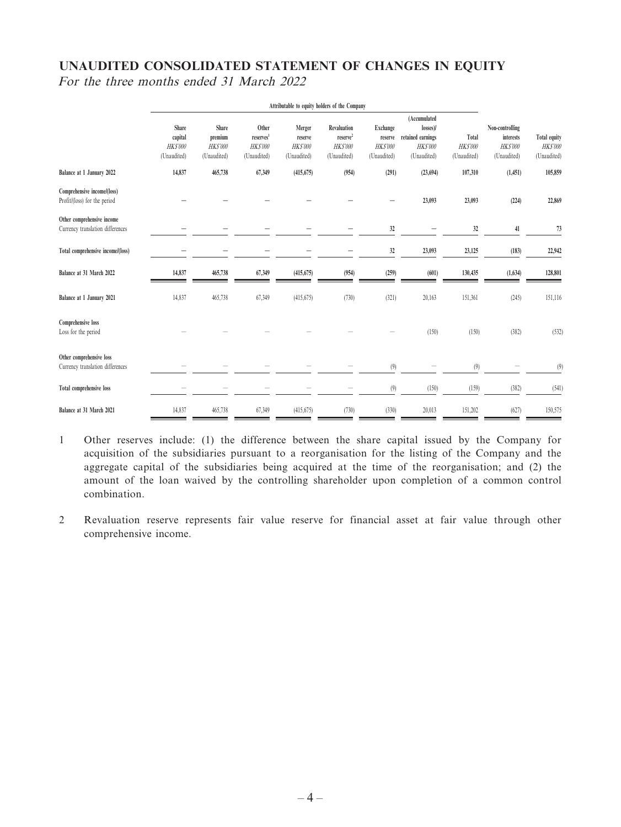## **UNAUDITED CONSOLIDATED STATEMENT OF CHANGES IN EQUITY** For the three months ended 31 March 2022

|                                                                | Attributable to equity holders of the Company     |                                                          |                                                                  |                                                    |                                                                       |                                                              |                                                                |                                         |                                                               |                                               |
|----------------------------------------------------------------|---------------------------------------------------|----------------------------------------------------------|------------------------------------------------------------------|----------------------------------------------------|-----------------------------------------------------------------------|--------------------------------------------------------------|----------------------------------------------------------------|-----------------------------------------|---------------------------------------------------------------|-----------------------------------------------|
|                                                                |                                                   |                                                          |                                                                  |                                                    |                                                                       |                                                              | (Accumulated                                                   |                                         |                                                               |                                               |
|                                                                | Share<br>capital<br><b>HKS'000</b><br>(Unaudited) | <b>Share</b><br>premium<br><b>HKS'000</b><br>(Unaudited) | Other<br>reserves <sup>1</sup><br><b>HK\$'000</b><br>(Unaudited) | Merger<br>reserve<br><b>HKS'000</b><br>(Unaudited) | Revaluation<br>reserve <sup>2</sup><br><b>HK\$'000</b><br>(Unaudited) | <b>Exchange</b><br>reserve<br><b>HK\$'000</b><br>(Unaudited) | losses)/<br>retained earnings<br><b>HKS'000</b><br>(Unaudited) | Total<br><b>HK\$'000</b><br>(Unaudited) | Non-controlling<br>interests<br><b>HKS'000</b><br>(Unaudited) | Total equity<br><b>HKS'000</b><br>(Unaudited) |
| Balance at 1 January 2022                                      | 14,837                                            | 465,738                                                  | 67,349                                                           | (415, 675)                                         | (954)                                                                 | (291)                                                        | (23, 694)                                                      | 107,310                                 | (1,451)                                                       | 105,859                                       |
| Comprehensive income/(loss)<br>Profit/(loss) for the period    |                                                   |                                                          |                                                                  |                                                    |                                                                       |                                                              | 23,093                                                         | 23,093                                  | (224)                                                         | 22,869                                        |
| Other comprehensive income<br>Currency translation differences |                                                   |                                                          |                                                                  |                                                    |                                                                       | 32                                                           | -                                                              | 32                                      | 41                                                            | 73                                            |
| Total comprehensive income/(loss)                              |                                                   |                                                          |                                                                  |                                                    |                                                                       | 32                                                           | 23,093                                                         | 23,125                                  | (183)                                                         | 22,942                                        |
| Balance at 31 March 2022                                       | 14,837                                            | 465,738                                                  | 67,349                                                           | (415, 675)                                         | (954)                                                                 | (259)                                                        | (601)                                                          | 130,435                                 | (1,634)                                                       | 128,801                                       |
| Balance at 1 January 2021                                      | 14,837                                            | 465,738                                                  | 67,349                                                           | (415,675)                                          | (730)                                                                 | (321)                                                        | 20,163                                                         | 151,361                                 | (245)                                                         | 151,116                                       |
| Comprehensive loss<br>Loss for the period                      |                                                   |                                                          |                                                                  |                                                    |                                                                       |                                                              | (150)                                                          | (150)                                   | (382)                                                         | (532)                                         |
| Other comprehensive loss<br>Currency translation differences   |                                                   |                                                          |                                                                  |                                                    |                                                                       | (9)                                                          |                                                                | (9)                                     |                                                               | (9)                                           |
| <b>Total comprehensive loss</b>                                |                                                   |                                                          |                                                                  |                                                    |                                                                       | $(9)$                                                        | (150)                                                          | (159)                                   | (382)                                                         | (541)                                         |
| Balance at 31 March 2021                                       | 14,837                                            | 465,738                                                  | 67,349                                                           | (415, 675)                                         | (730)                                                                 | (330)                                                        | 20,013                                                         | 151,202                                 | (627)                                                         | 150,575                                       |

- 1 Other reserves include: (1) the difference between the share capital issued by the Company for acquisition of the subsidiaries pursuant to a reorganisation for the listing of the Company and the aggregate capital of the subsidiaries being acquired at the time of the reorganisation; and (2) the amount of the loan waived by the controlling shareholder upon completion of a common control combination.
- 2 Revaluation reserve represents fair value reserve for financial asset at fair value through other comprehensive income.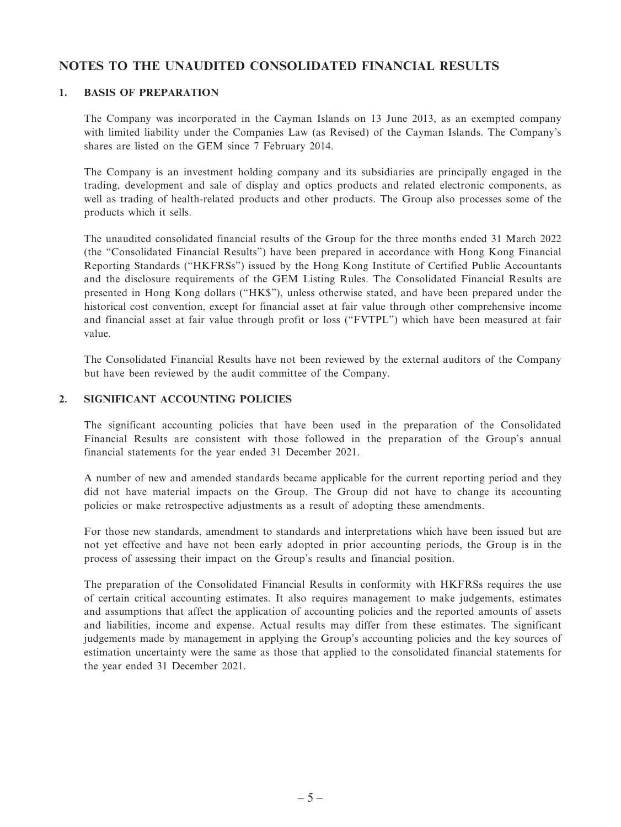### **NOTES TO THE UNAUDITED CONSOLIDATED FINANCIAL RESULTS**

#### **1. BASIS OF PREPARATION**

The Company was incorporated in the Cayman Islands on 13 June 2013, as an exempted company with limited liability under the Companies Law (as Revised) of the Cayman Islands. The Company's shares are listed on the GEM since 7 February 2014.

The Company is an investment holding company and its subsidiaries are principally engaged in the trading, development and sale of display and optics products and related electronic components, as well as trading of health-related products and other products. The Group also processes some of the products which it sells.

The unaudited consolidated financial results of the Group for the three months ended 31 March 2022 (the "Consolidated Financial Results") have been prepared in accordance with Hong Kong Financial Reporting Standards ("HKFRSs") issued by the Hong Kong Institute of Certified Public Accountants and the disclosure requirements of the GEM Listing Rules. The Consolidated Financial Results are presented in Hong Kong dollars ("HK\$"), unless otherwise stated, and have been prepared under the historical cost convention, except for financial asset at fair value through other comprehensive income and financial asset at fair value through profit or loss ("FVTPL") which have been measured at fair value.

The Consolidated Financial Results have not been reviewed by the external auditors of the Company but have been reviewed by the audit committee of the Company.

#### **2. SIGNIFICANT ACCOUNTING POLICIES**

The significant accounting policies that have been used in the preparation of the Consolidated Financial Results are consistent with those followed in the preparation of the Group's annual financial statements for the year ended 31 December 2021.

A number of new and amended standards became applicable for the current reporting period and they did not have material impacts on the Group. The Group did not have to change its accounting policies or make retrospective adjustments as a result of adopting these amendments.

For those new standards, amendment to standards and interpretations which have been issued but are not yet effective and have not been early adopted in prior accounting periods, the Group is in the process of assessing their impact on the Group's results and financial position.

The preparation of the Consolidated Financial Results in conformity with HKFRSs requires the use of certain critical accounting estimates. It also requires management to make judgements, estimates and assumptions that affect the application of accounting policies and the reported amounts of assets and liabilities, income and expense. Actual results may differ from these estimates. The significant judgements made by management in applying the Group's accounting policies and the key sources of estimation uncertainty were the same as those that applied to the consolidated financial statements for the year ended 31 December 2021.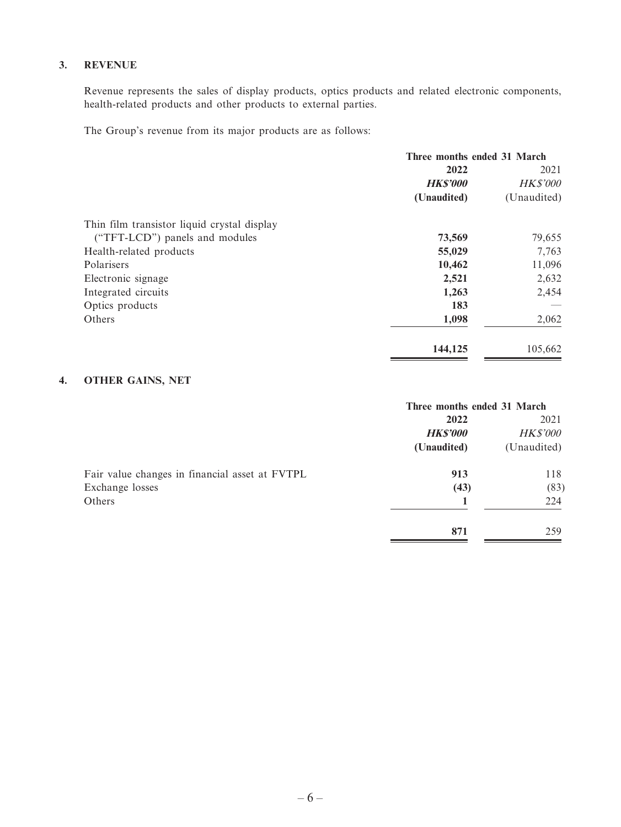#### **3. REVENUE**

Revenue represents the sales of display products, optics products and related electronic components, health-related products and other products to external parties.

The Group's revenue from its major products are as follows:

|                                             | Three months ended 31 March |                 |  |
|---------------------------------------------|-----------------------------|-----------------|--|
|                                             | 2022                        | 2021            |  |
|                                             | <b>HK\$'000</b>             | <b>HK\$'000</b> |  |
|                                             | (Unaudited)                 | (Unaudited)     |  |
| Thin film transistor liquid crystal display |                             |                 |  |
| ("TFT-LCD") panels and modules              | 73,569                      | 79,655          |  |
| Health-related products                     | 55,029                      | 7,763           |  |
| Polarisers                                  | 10,462                      | 11,096          |  |
| Electronic signage                          | 2,521                       | 2,632           |  |
| Integrated circuits                         | 1,263                       | 2,454           |  |
| Optics products                             | 183                         |                 |  |
| Others                                      | 1,098                       | 2,062           |  |
|                                             | 144,125                     | 105,662         |  |

#### **4. OTHER GAINS, NET**

|                                                | Three months ended 31 March |                 |  |
|------------------------------------------------|-----------------------------|-----------------|--|
|                                                | 2022                        | 2021            |  |
|                                                | <b>HK\$'000</b>             | <b>HK\$'000</b> |  |
|                                                | (Unaudited)                 | (Unaudited)     |  |
| Fair value changes in financial asset at FVTPL | 913                         | 118             |  |
| Exchange losses                                | (43)                        | (83)            |  |
| Others                                         |                             | 224             |  |
|                                                | 871                         | 259             |  |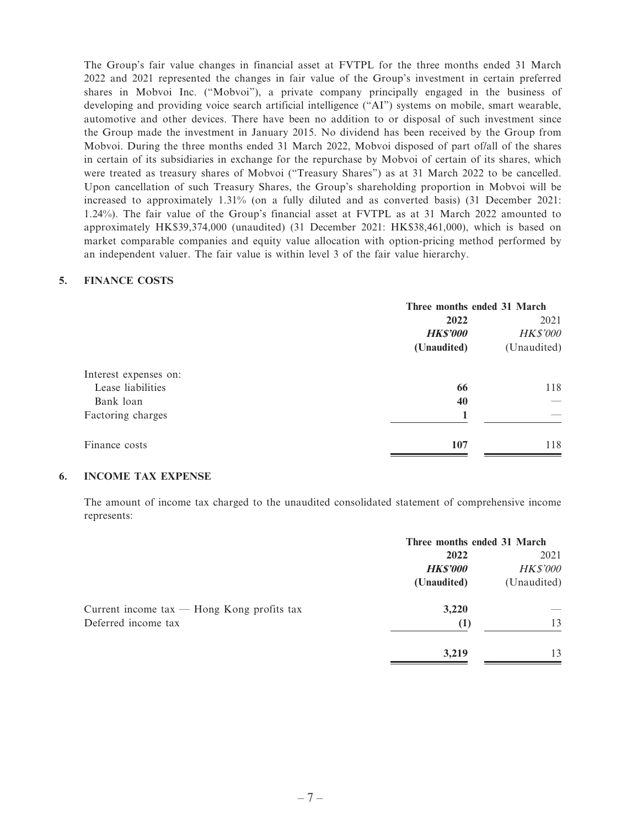The Group's fair value changes in financial asset at FVTPL for the three months ended 31 March 2022 and 2021 represented the changes in fair value of the Group's investment in certain preferred shares in Mobvoi Inc. ("Mobvoi"), a private company principally engaged in the business of developing and providing voice search artificial intelligence ("AI") systems on mobile, smart wearable, automotive and other devices. There have been no addition to or disposal of such investment since the Group made the investment in January 2015. No dividend has been received by the Group from Mobvoi. During the three months ended 31 March 2022, Mobvoi disposed of part of/all of the shares in certain of its subsidiaries in exchange for the repurchase by Mobvoi of certain of its shares, which were treated as treasury shares of Mobvoi ("Treasury Shares") as at 31 March 2022 to be cancelled. Upon cancellation of such Treasury Shares, the Group's shareholding proportion in Mobvoi will be increased to approximately 1.31% (on a fully diluted and as converted basis) (31 December 2021: 1.24%). The fair value of the Group's financial asset at FVTPL as at 31 March 2022 amounted to approximately HK\$39,374,000 (unaudited) (31 December 2021: HK\$38,461,000), which is based on market comparable companies and equity value allocation with option-pricing method performed by an independent valuer. The fair value is within level 3 of the fair value hierarchy.

#### **5. FINANCE COSTS**

|                       |                 | Three months ended 31 March |  |  |
|-----------------------|-----------------|-----------------------------|--|--|
|                       | 2022            | 2021                        |  |  |
|                       | <b>HK\$'000</b> | <b>HK\$'000</b>             |  |  |
|                       | (Unaudited)     | (Unaudited)                 |  |  |
| Interest expenses on: |                 |                             |  |  |
| Lease liabilities     | 66              | 118                         |  |  |
| Bank loan             | 40              |                             |  |  |
| Factoring charges     |                 |                             |  |  |
| Finance costs         | 107             | 118                         |  |  |

#### **6. INCOME TAX EXPENSE**

The amount of income tax charged to the unaudited consolidated statement of comprehensive income represents:

|                                                              | Three months ended 31 March |                 |
|--------------------------------------------------------------|-----------------------------|-----------------|
|                                                              | 2022                        | 2021            |
|                                                              | <b>HK\$'000</b>             | <b>HK\$'000</b> |
|                                                              | (Unaudited)                 | (Unaudited)     |
| Current income $\text{tax}$ - Hong Kong profits $\text{tax}$ | 3,220                       |                 |
| Deferred income tax                                          | (1)                         | 13              |
|                                                              | 3,219                       | 13              |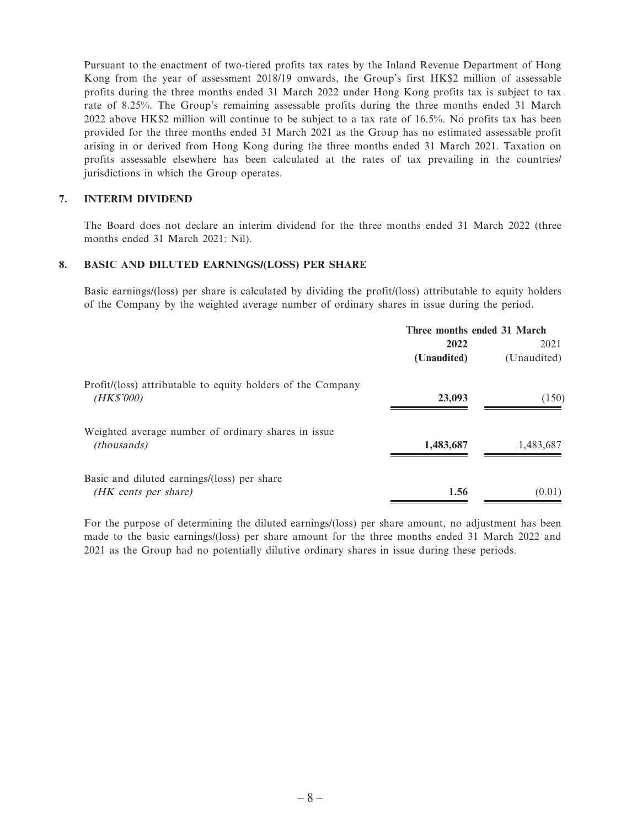Pursuant to the enactment of two-tiered profits tax rates by the Inland Revenue Department of Hong Kong from the year of assessment 2018/19 onwards, the Group's first HK\$2 million of assessable profits during the three months ended 31 March 2022 under Hong Kong profits tax is subject to tax rate of 8.25%. The Group's remaining assessable profits during the three months ended 31 March 2022 above HK\$2 million will continue to be subject to a tax rate of 16.5%. No profits tax has been provided for the three months ended 31 March 2021 as the Group has no estimated assessable profit arising in or derived from Hong Kong during the three months ended 31 March 2021. Taxation on profits assessable elsewhere has been calculated at the rates of tax prevailing in the countries/ jurisdictions in which the Group operates.

#### **7. INTERIM DIVIDEND**

The Board does not declare an interim dividend for the three months ended 31 March 2022 (three months ended 31 March 2021: Nil).

#### **8. BASIC AND DILUTED EARNINGS/(LOSS) PER SHARE**

Basic earnings/(loss) per share is calculated by dividing the profit/(loss) attributable to equity holders of the Company by the weighted average number of ordinary shares in issue during the period.

|                                                             | Three months ended 31 March |             |  |
|-------------------------------------------------------------|-----------------------------|-------------|--|
|                                                             | 2022                        | 2021        |  |
|                                                             | (Unaudited)                 | (Unaudited) |  |
| Profit/(loss) attributable to equity holders of the Company |                             |             |  |
| (HK\$'000)                                                  | 23,093                      | (150)       |  |
| Weighted average number of ordinary shares in issue         |                             |             |  |
| <i>(thousands)</i>                                          | 1,483,687                   | 1,483,687   |  |
| Basic and diluted earnings/(loss) per share                 |                             |             |  |
| (HK cents per share)                                        | 1.56                        | (0.01)      |  |

For the purpose of determining the diluted earnings/(loss) per share amount, no adjustment has been made to the basic earnings/(loss) per share amount for the three months ended 31 March 2022 and 2021 as the Group had no potentially dilutive ordinary shares in issue during these periods.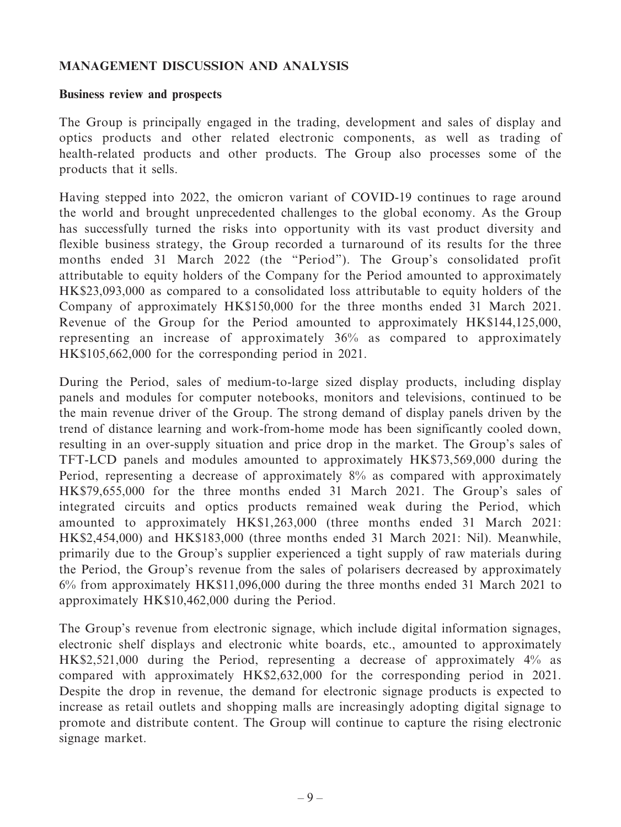### **MANAGEMENT DISCUSSION AND ANALYSIS**

#### **Business review and prospects**

The Group is principally engaged in the trading, development and sales of display and optics products and other related electronic components, as well as trading of health-related products and other products. The Group also processes some of the products that it sells.

Having stepped into 2022, the omicron variant of COVID-19 continues to rage around the world and brought unprecedented challenges to the global economy. As the Group has successfully turned the risks into opportunity with its vast product diversity and flexible business strategy, the Group recorded a turnaround of its results for the three months ended 31 March 2022 (the "Period"). The Group's consolidated profit attributable to equity holders of the Company for the Period amounted to approximately HK\$23,093,000 as compared to a consolidated loss attributable to equity holders of the Company of approximately HK\$150,000 for the three months ended 31 March 2021. Revenue of the Group for the Period amounted to approximately HK\$144,125,000, representing an increase of approximately 36% as compared to approximately HK\$105,662,000 for the corresponding period in 2021.

During the Period, sales of medium-to-large sized display products, including display panels and modules for computer notebooks, monitors and televisions, continued to be the main revenue driver of the Group. The strong demand of display panels driven by the trend of distance learning and work-from-home mode has been significantly cooled down, resulting in an over-supply situation and price drop in the market. The Group's sales of TFT-LCD panels and modules amounted to approximately HK\$73,569,000 during the Period, representing a decrease of approximately 8% as compared with approximately HK\$79,655,000 for the three months ended 31 March 2021. The Group's sales of integrated circuits and optics products remained weak during the Period, which amounted to approximately HK\$1,263,000 (three months ended 31 March 2021: HK\$2,454,000) and HK\$183,000 (three months ended 31 March 2021: Nil). Meanwhile, primarily due to the Group's supplier experienced a tight supply of raw materials during the Period, the Group's revenue from the sales of polarisers decreased by approximately 6% from approximately HK\$11,096,000 during the three months ended 31 March 2021 to approximately HK\$10,462,000 during the Period.

The Group's revenue from electronic signage, which include digital information signages, electronic shelf displays and electronic white boards, etc., amounted to approximately HK\$2,521,000 during the Period, representing a decrease of approximately 4% as compared with approximately HK\$2,632,000 for the corresponding period in 2021. Despite the drop in revenue, the demand for electronic signage products is expected to increase as retail outlets and shopping malls are increasingly adopting digital signage to promote and distribute content. The Group will continue to capture the rising electronic signage market.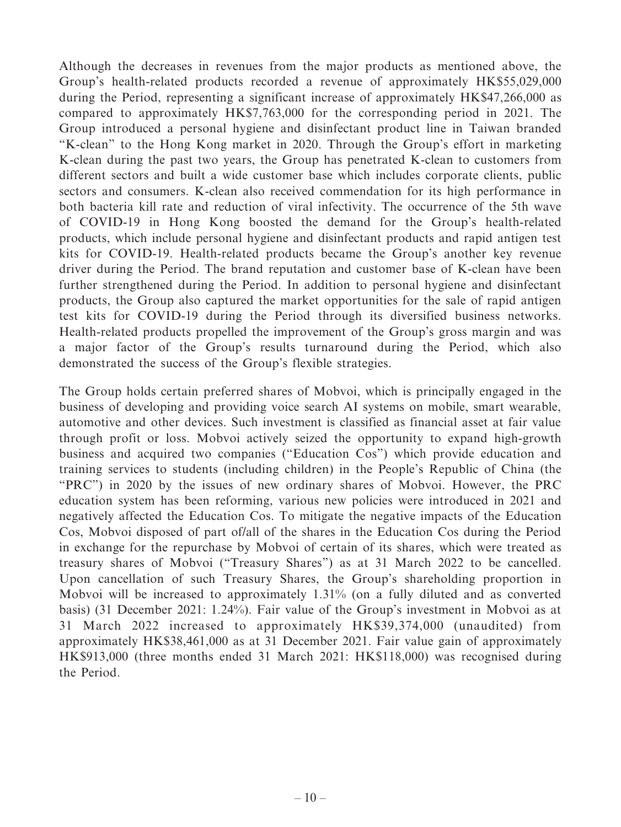Although the decreases in revenues from the major products as mentioned above, the Group's health-related products recorded a revenue of approximately HK\$55,029,000 during the Period, representing a significant increase of approximately HK\$47,266,000 as compared to approximately HK\$7,763,000 for the corresponding period in 2021. The Group introduced a personal hygiene and disinfectant product line in Taiwan branded "K-clean" to the Hong Kong market in 2020. Through the Group's effort in marketing K-clean during the past two years, the Group has penetrated K-clean to customers from different sectors and built a wide customer base which includes corporate clients, public sectors and consumers. K-clean also received commendation for its high performance in both bacteria kill rate and reduction of viral infectivity. The occurrence of the 5th wave of COVID-19 in Hong Kong boosted the demand for the Group's health-related products, which include personal hygiene and disinfectant products and rapid antigen test kits for COVID-19. Health-related products became the Group's another key revenue driver during the Period. The brand reputation and customer base of K-clean have been further strengthened during the Period. In addition to personal hygiene and disinfectant products, the Group also captured the market opportunities for the sale of rapid antigen test kits for COVID-19 during the Period through its diversified business networks. Health-related products propelled the improvement of the Group's gross margin and was a major factor of the Group's results turnaround during the Period, which also demonstrated the success of the Group's flexible strategies.

The Group holds certain preferred shares of Mobvoi, which is principally engaged in the business of developing and providing voice search AI systems on mobile, smart wearable, automotive and other devices. Such investment is classified as financial asset at fair value through profit or loss. Mobvoi actively seized the opportunity to expand high-growth business and acquired two companies ("Education Cos") which provide education and training services to students (including children) in the People's Republic of China (the "PRC") in 2020 by the issues of new ordinary shares of Mobvoi. However, the PRC education system has been reforming, various new policies were introduced in 2021 and negatively affected the Education Cos. To mitigate the negative impacts of the Education Cos, Mobvoi disposed of part of/all of the shares in the Education Cos during the Period in exchange for the repurchase by Mobvoi of certain of its shares, which were treated as treasury shares of Mobvoi ("Treasury Shares") as at 31 March 2022 to be cancelled. Upon cancellation of such Treasury Shares, the Group's shareholding proportion in Mobvoi will be increased to approximately 1.31% (on a fully diluted and as converted basis) (31 December 2021: 1.24%). Fair value of the Group's investment in Mobvoi as at 31 March 2022 increased to approximately HK\$39,374,000 (unaudited) from approximately HK\$38,461,000 as at 31 December 2021. Fair value gain of approximately HK\$913,000 (three months ended 31 March 2021: HK\$118,000) was recognised during the Period.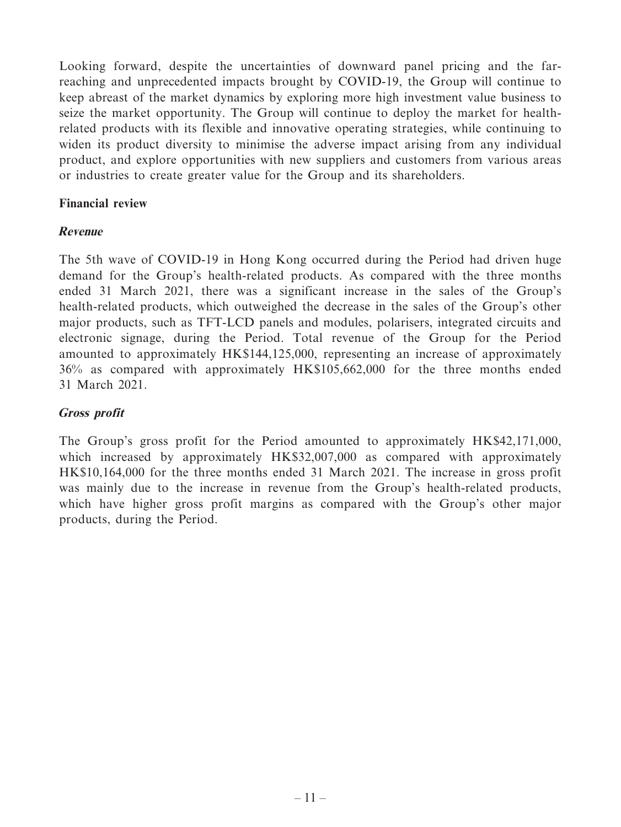Looking forward, despite the uncertainties of downward panel pricing and the farreaching and unprecedented impacts brought by COVID-19, the Group will continue to keep abreast of the market dynamics by exploring more high investment value business to seize the market opportunity. The Group will continue to deploy the market for healthrelated products with its flexible and innovative operating strategies, while continuing to widen its product diversity to minimise the adverse impact arising from any individual product, and explore opportunities with new suppliers and customers from various areas or industries to create greater value for the Group and its shareholders.

## **Financial review**

### **Revenue**

The 5th wave of COVID-19 in Hong Kong occurred during the Period had driven huge demand for the Group's health-related products. As compared with the three months ended 31 March 2021, there was a significant increase in the sales of the Group's health-related products, which outweighed the decrease in the sales of the Group's other major products, such as TFT-LCD panels and modules, polarisers, integrated circuits and electronic signage, during the Period. Total revenue of the Group for the Period amounted to approximately HK\$144,125,000, representing an increase of approximately 36% as compared with approximately HK\$105,662,000 for the three months ended 31 March 2021.

### **Gross profit**

The Group's gross profit for the Period amounted to approximately HK\$42,171,000, which increased by approximately HK\$32,007,000 as compared with approximately HK\$10,164,000 for the three months ended 31 March 2021. The increase in gross profit was mainly due to the increase in revenue from the Group's health-related products, which have higher gross profit margins as compared with the Group's other major products, during the Period.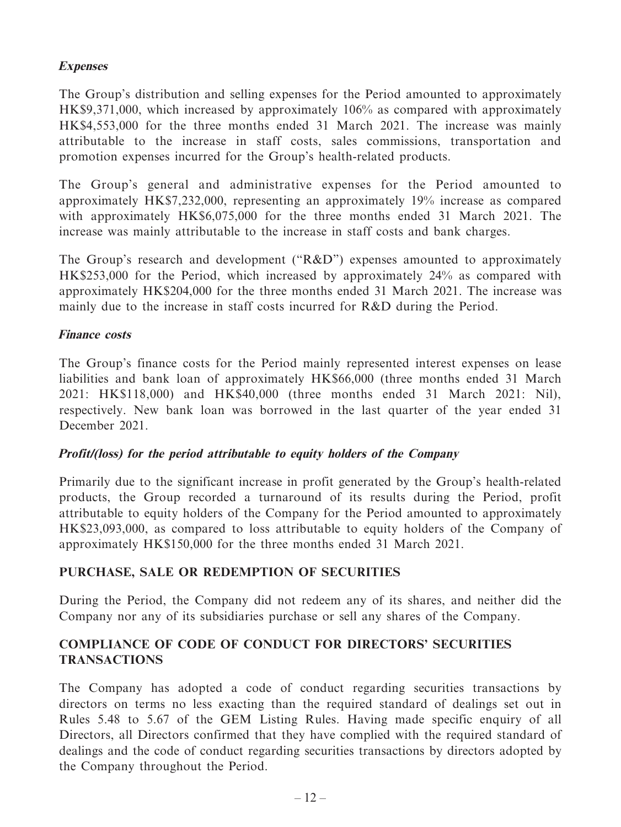## **Expenses**

The Group's distribution and selling expenses for the Period amounted to approximately HK\$9,371,000, which increased by approximately 106% as compared with approximately HK\$4,553,000 for the three months ended 31 March 2021. The increase was mainly attributable to the increase in staff costs, sales commissions, transportation and promotion expenses incurred for the Group's health-related products.

The Group's general and administrative expenses for the Period amounted to approximately HK\$7,232,000, representing an approximately 19% increase as compared with approximately HK\$6,075,000 for the three months ended 31 March 2021. The increase was mainly attributable to the increase in staff costs and bank charges.

The Group's research and development ("R&D") expenses amounted to approximately HK\$253,000 for the Period, which increased by approximately 24% as compared with approximately HK\$204,000 for the three months ended 31 March 2021. The increase was mainly due to the increase in staff costs incurred for R&D during the Period.

## **Finance costs**

The Group's finance costs for the Period mainly represented interest expenses on lease liabilities and bank loan of approximately HK\$66,000 (three months ended 31 March 2021: HK\$118,000) and HK\$40,000 (three months ended 31 March 2021: Nil), respectively. New bank loan was borrowed in the last quarter of the year ended 31 December 2021.

# **Profit/(loss) for the period attributable to equity holders of the Company**

Primarily due to the significant increase in profit generated by the Group's health-related products, the Group recorded a turnaround of its results during the Period, profit attributable to equity holders of the Company for the Period amounted to approximately HK\$23,093,000, as compared to loss attributable to equity holders of the Company of approximately HK\$150,000 for the three months ended 31 March 2021.

# **PURCHASE, SALE OR REDEMPTION OF SECURITIES**

During the Period, the Company did not redeem any of its shares, and neither did the Company nor any of its subsidiaries purchase or sell any shares of the Company.

# **COMPLIANCE OF CODE OF CONDUCT FOR DIRECTORS' SECURITIES TRANSACTIONS**

The Company has adopted a code of conduct regarding securities transactions by directors on terms no less exacting than the required standard of dealings set out in Rules 5.48 to 5.67 of the GEM Listing Rules. Having made specific enquiry of all Directors, all Directors confirmed that they have complied with the required standard of dealings and the code of conduct regarding securities transactions by directors adopted by the Company throughout the Period.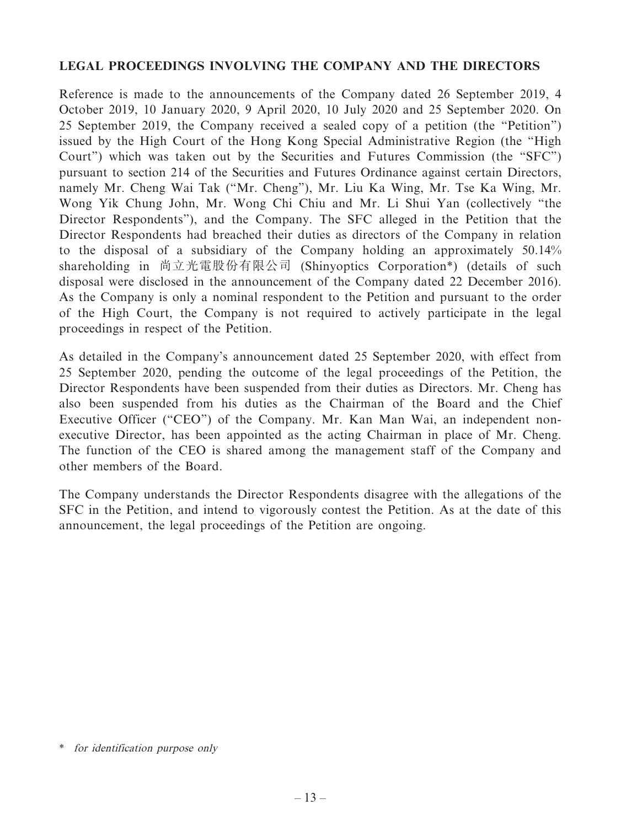## **LEGAL PROCEEDINGS INVOLVING THE COMPANY AND THE DIRECTORS**

Reference is made to the announcements of the Company dated 26 September 2019, 4 October 2019, 10 January 2020, 9 April 2020, 10 July 2020 and 25 September 2020. On 25 September 2019, the Company received a sealed copy of a petition (the "Petition") issued by the High Court of the Hong Kong Special Administrative Region (the "High Court") which was taken out by the Securities and Futures Commission (the "SFC") pursuant to section 214 of the Securities and Futures Ordinance against certain Directors, namely Mr. Cheng Wai Tak ("Mr. Cheng"), Mr. Liu Ka Wing, Mr. Tse Ka Wing, Mr. Wong Yik Chung John, Mr. Wong Chi Chiu and Mr. Li Shui Yan (collectively "the Director Respondents"), and the Company. The SFC alleged in the Petition that the Director Respondents had breached their duties as directors of the Company in relation to the disposal of a subsidiary of the Company holding an approximately 50.14% shareholding in 尚立光電股份有限公司 (Shinyoptics Corporation\*) (details of such disposal were disclosed in the announcement of the Company dated 22 December 2016). As the Company is only a nominal respondent to the Petition and pursuant to the order of the High Court, the Company is not required to actively participate in the legal proceedings in respect of the Petition.

As detailed in the Company's announcement dated 25 September 2020, with effect from 25 September 2020, pending the outcome of the legal proceedings of the Petition, the Director Respondents have been suspended from their duties as Directors. Mr. Cheng has also been suspended from his duties as the Chairman of the Board and the Chief Executive Officer ("CEO") of the Company. Mr. Kan Man Wai, an independent nonexecutive Director, has been appointed as the acting Chairman in place of Mr. Cheng. The function of the CEO is shared among the management staff of the Company and other members of the Board.

The Company understands the Director Respondents disagree with the allegations of the SFC in the Petition, and intend to vigorously contest the Petition. As at the date of this announcement, the legal proceedings of the Petition are ongoing.

<sup>\*</sup> for identification purpose only